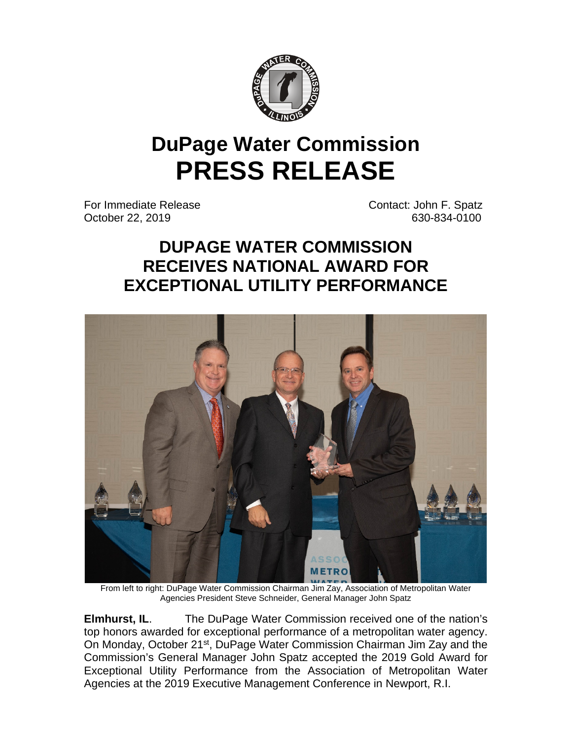

## **DuPage Water Commission PRESS RELEASE**

For Immediate Release Contact: John F. Spatz October 22, 2019 **630-834**-0100

## **DUPAGE WATER COMMISSION RECEIVES NATIONAL AWARD FOR EXCEPTIONAL UTILITY PERFORMANCE**



From left to right: DuPage Water Commission Chairman Jim Zay, Association of Metropolitan Water Agencies President Steve Schneider, General Manager John Spatz

**Elmhurst, IL.** The DuPage Water Commission received one of the nation's top honors awarded for exceptional performance of a metropolitan water agency. On Monday, October 21<sup>st</sup>, DuPage Water Commission Chairman Jim Zay and the Commission's General Manager John Spatz accepted the 2019 Gold Award for Exceptional Utility Performance from the Association of Metropolitan Water Agencies at the 2019 Executive Management Conference in Newport, R.I.